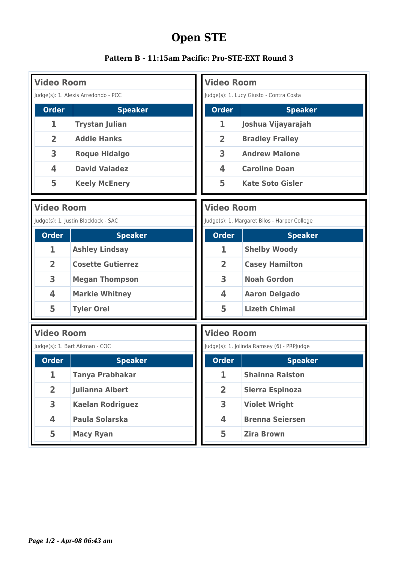## **Open STE**

|  |  |  | Pattern B - 11:15am Pacific: Pro-STE-EXT Round 3 |  |
|--|--|--|--------------------------------------------------|--|
|--|--|--|--------------------------------------------------|--|

| <b>Video Room</b>        | <b>Video Room</b>                                                                   |                         |                         |  |  |
|--------------------------|-------------------------------------------------------------------------------------|-------------------------|-------------------------|--|--|
|                          | Judge(s): 1. Alexis Arredondo - PCC<br>Judge(s): 1. Lucy Giusto - Contra Costa      |                         |                         |  |  |
| <b>Order</b>             | <b>Speaker</b>                                                                      | <b>Order</b>            | <b>Speaker</b>          |  |  |
| 1                        | <b>Trystan Julian</b>                                                               | 1                       | Joshua Vijayarajah      |  |  |
| $\overline{2}$           | <b>Addie Hanks</b>                                                                  | 2                       | <b>Bradley Frailey</b>  |  |  |
| 3                        | <b>Roque Hidalgo</b>                                                                | 3                       | <b>Andrew Malone</b>    |  |  |
| 4                        | <b>David Valadez</b>                                                                | 4                       | <b>Caroline Doan</b>    |  |  |
| 5                        | <b>Keely McEnery</b>                                                                | 5                       | <b>Kate Soto Gisler</b> |  |  |
| <b>Video Room</b>        |                                                                                     | <b>Video Room</b>       |                         |  |  |
|                          | Judge(s): 1. Justin Blacklock - SAC<br>Judge(s): 1. Margaret Bilos - Harper College |                         |                         |  |  |
| <b>Order</b>             | <b>Speaker</b>                                                                      | <b>Order</b>            | <b>Speaker</b>          |  |  |
| 1                        | <b>Ashley Lindsay</b>                                                               | 1                       | <b>Shelby Woody</b>     |  |  |
| $\overline{2}$           | <b>Cosette Gutierrez</b>                                                            | $\overline{\mathbf{2}}$ | <b>Casey Hamilton</b>   |  |  |
| 3                        | <b>Megan Thompson</b>                                                               | 3                       | <b>Noah Gordon</b>      |  |  |
| 4                        | <b>Markie Whitney</b>                                                               | 4                       | <b>Aaron Delgado</b>    |  |  |
| 5                        | <b>Tyler Orel</b>                                                                   | 5                       | <b>Lizeth Chimal</b>    |  |  |
|                          | <b>Video Room</b><br><b>Video Room</b>                                              |                         |                         |  |  |
|                          | Judge(s): 1. Bart Aikman - COC<br>Judge(s): 1. Jolinda Ramsey (6) - PRPJudge        |                         |                         |  |  |
| $\boxed{\textbf{Order}}$ | <b>Speaker</b>                                                                      | Order                   | <b>Speaker</b>          |  |  |
| 1                        | <b>Tanya Prabhakar</b>                                                              | 1                       | <b>Shainna Ralston</b>  |  |  |
| $\overline{2}$           | <b>Julianna Albert</b>                                                              | $\overline{2}$          | <b>Sierra Espinoza</b>  |  |  |
| 3                        | <b>Kaelan Rodriguez</b>                                                             | 3                       | <b>Violet Wright</b>    |  |  |
| 4                        | <b>Paula Solarska</b>                                                               | 4                       | <b>Brenna Seiersen</b>  |  |  |
| 5                        | <b>Macy Ryan</b>                                                                    | 5                       | <b>Zira Brown</b>       |  |  |